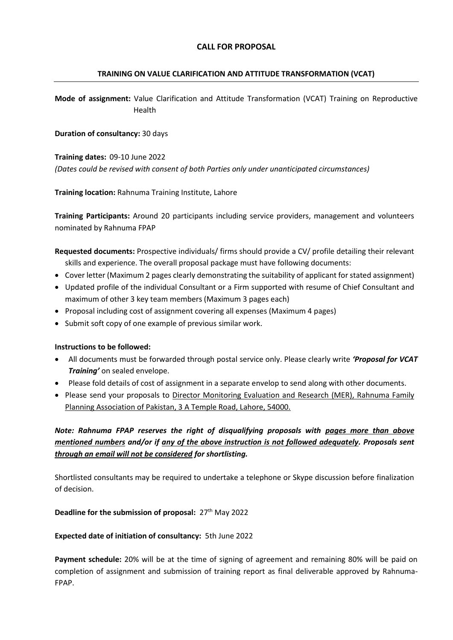# **CALL FOR PROPOSAL**

#### **TRAINING ON VALUE CLARIFICATION AND ATTITUDE TRANSFORMATION (VCAT)**

**Mode of assignment:** Value Clarification and Attitude Transformation (VCAT) Training on Reproductive Health

**Duration of consultancy:** 30 days

**Training dates:** 09-10 June 2022 *(Dates could be revised with consent of both Parties only under unanticipated circumstances)*

**Training location:** Rahnuma Training Institute, Lahore

**Training Participants:** Around 20 participants including service providers, management and volunteers nominated by Rahnuma FPAP

**Requested documents:** Prospective individuals/ firms should provide a CV/ profile detailing their relevant skills and experience. The overall proposal package must have following documents:

- Cover letter (Maximum 2 pages clearly demonstrating the suitability of applicant for stated assignment)
- Updated profile of the individual Consultant or a Firm supported with resume of Chief Consultant and maximum of other 3 key team members (Maximum 3 pages each)
- Proposal including cost of assignment covering all expenses (Maximum 4 pages)
- Submit soft copy of one example of previous similar work.

#### **Instructions to be followed:**

- All documents must be forwarded through postal service only. Please clearly write *'Proposal for VCAT Training'* on sealed envelope.
- Please fold details of cost of assignment in a separate envelop to send along with other documents.
- Please send your proposals to Director Monitoring Evaluation and Research (MER), Rahnuma Family Planning Association of Pakistan, 3 A Temple Road, Lahore, 54000.

# *Note: Rahnuma FPAP reserves the right of disqualifying proposals with pages more than above mentioned numbers and/or if any of the above instruction is not followed adequately. Proposals sent through an email will not be considered for shortlisting.*

Shortlisted consultants may be required to undertake a telephone or Skype discussion before finalization of decision.

#### **Deadline for the submission of proposal:** 27<sup>th</sup> May 2022

#### **Expected date of initiation of consultancy:** 5th June 2022

**Payment schedule:** 20% will be at the time of signing of agreement and remaining 80% will be paid on completion of assignment and submission of training report as final deliverable approved by Rahnuma-FPAP.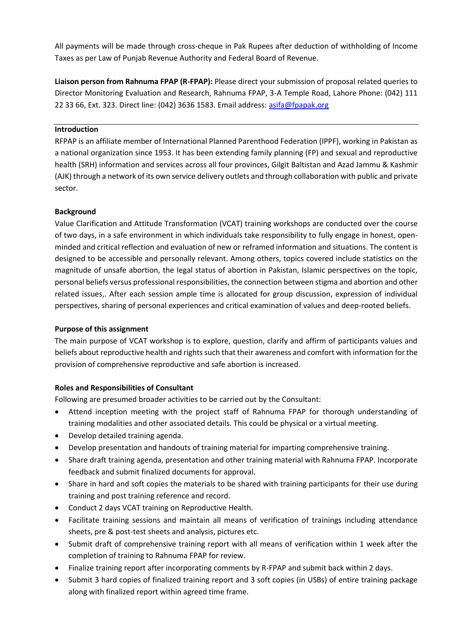All payments will be made through cross-cheque in Pak Rupees after deduction of withholding of Income Taxes as per Law of Punjab Revenue Authority and Federal Board of Revenue.

**Liaison person from Rahnuma FPAP (R-FPAP):** Please direct your submission of proposal related queries to Director Monitoring Evaluation and Research, Rahnuma FPAP, 3-A Temple Road, Lahore Phone: (042) 111 22 33 66, Ext. 323. Direct line: (042) 3636 1583. Email address: [asifa@fpapak.org](mailto:asifa@fpapak.org)

#### **Introduction**

RFPAP is an affiliate member of International Planned Parenthood Federation (IPPF), working in Pakistan as a national organization since 1953. It has been extending family planning (FP) and sexual and reproductive health (SRH) information and services across all four provinces, Gilgit Baltistan and Azad Jammu & Kashmir (AJK) through a network of its own service delivery outlets and through collaboration with public and private sector.

### **Background**

Value Clarification and Attitude Transformation (VCAT) training workshops are conducted over the course of two days, in a safe environment in which individuals take responsibility to fully engage in honest, openminded and critical reflection and evaluation of new or reframed information and situations. The content is designed to be accessible and personally relevant. Among others, topics covered include statistics on the magnitude of unsafe abortion, the legal status of abortion in Pakistan, Islamic perspectives on the topic, personal beliefs versus professional responsibilities, the connection between stigma and abortion and other related issues,. After each session ample time is allocated for group discussion, expression of individual perspectives, sharing of personal experiences and critical examination of values and deep-rooted beliefs.

#### **Purpose of this assignment**

The main purpose of VCAT workshop is to explore, question, clarify and affirm of participants values and beliefs about reproductive health and rights such that their awareness and comfort with information for the provision of comprehensive reproductive and safe abortion is increased.

#### **Roles and Responsibilities of Consultant**

Following are presumed broader activities to be carried out by the Consultant:

- Attend inception meeting with the project staff of Rahnuma FPAP for thorough understanding of training modalities and other associated details. This could be physical or a virtual meeting.
- Develop detailed training agenda.
- Develop presentation and handouts of training material for imparting comprehensive training.
- Share draft training agenda, presentation and other training material with Rahnuma FPAP. Incorporate feedback and submit finalized documents for approval.
- Share in hard and soft copies the materials to be shared with training participants for their use during training and post training reference and record.
- Conduct 2 days VCAT training on Reproductive Health.
- Facilitate training sessions and maintain all means of verification of trainings including attendance sheets, pre & post-test sheets and analysis, pictures etc.
- Submit draft of comprehensive training report with all means of verification within 1 week after the completion of training to Rahnuma FPAP for review.
- Finalize training report after incorporating comments by R-FPAP and submit back within 2 days.
- Submit 3 hard copies of finalized training report and 3 soft copies (in USBs) of entire training package along with finalized report within agreed time frame.